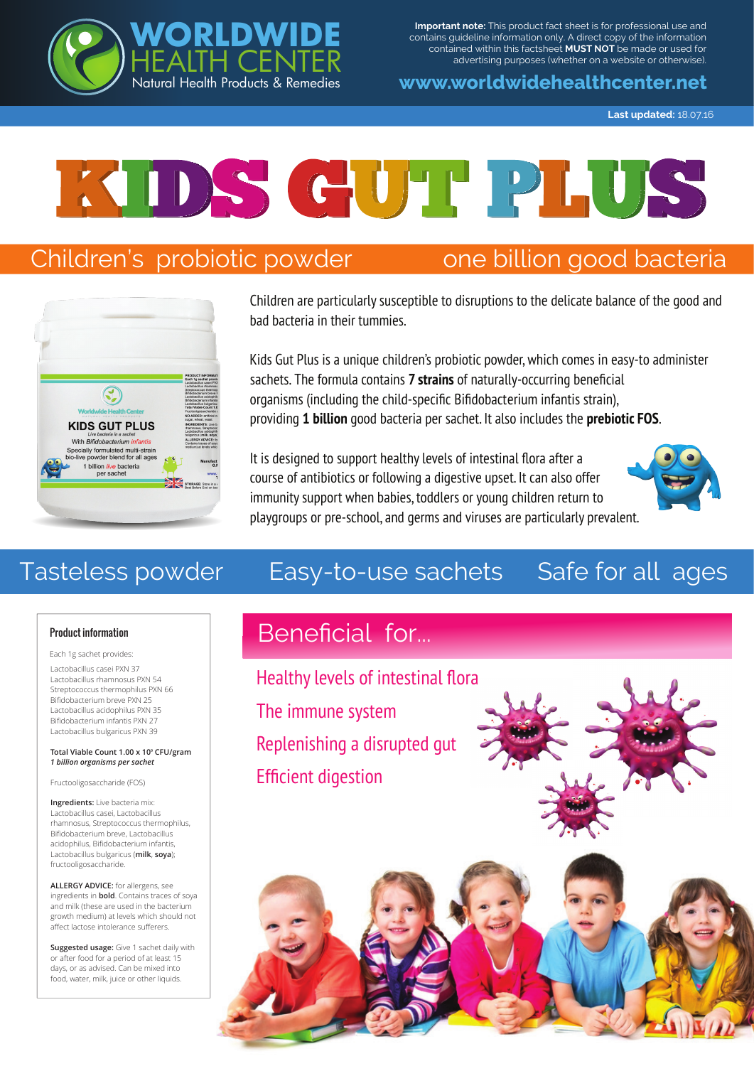**Important note:** This product fact sheet is for professional use and contains guideline information only. A direct copy of the information contained within this factsheet **MUST NOT** be made or used for advertising purposes (whether on a website or otherwise).

#### **www.worldwidehealthcenter.net**

**Last updated:** 18.07.16



# Children's probiotic powder one billion good bacteria

**RLDWI** 

H CENT

Natural Health Products & Remedies



Children are particularly susceptible to disruptions to the delicate balance of the good and bad bacteria in their tummies.

Kids Gut Plus is a unique children's probiotic powder, which comes in easy-to administer sachets. The formula contains **7 strains** of naturally-occurring beneficial organisms (including the child-specific Bifidobacterium infantis strain), providing **1 billion** good bacteria per sachet. It also includes the **prebiotic FOS**.

It is designed to support healthy levels of intestinal flora after a course of antibiotics or following a digestive upset. It can also offer immunity support when babies, toddlers or young children return to playgroups or pre-school, and germs and viruses are particularly prevalent.



# Tasteless powder Easy-to-use sachets Safe for all ages

#### Product information

Each 1g sachet provides:

Lactobacillus casei PXN 37 Lactobacillus rhamnosus PXN 54 Streptococcus thermophilus PXN 66 Bifidobacterium breve PXN 25 Lactobacillus acidophilus PXN 35 Bifidobacterium infantis PXN 27 Lactobacillus bulgaricus PXN 39

#### **Total Viable Count 1.00 x 109 CFU/gram** *1 billion organisms per sachet*

Fructooligosaccharide (FOS)

**Ingredients:** Live bacteria mix: Lactobacillus casei, Lactobacillus rhamnosus, Streptococcus thermophilus, Bifidobacterium breve, Lactobacillus acidophilus, Bifidobacterium infantis, Lactobacillus bulgaricus (**milk**, **soya**); fructooligosaccharide.

**ALLERGY ADVICE:** for allergens, see ingredients in **bold**. Contains traces of soya and milk (these are used in the bacterium growth medium) at levels which should not affect lactose intolerance sufferers.

**Suggested usage:** Give 1 sachet daily with or after food for a period of at least 15 days, or as advised. Can be mixed into food, water, milk, juice or other liquids.

# Beneficial for...

Healthy levels of intestinal flora The immune system Replenishing a disrupted gut Efficient digestion



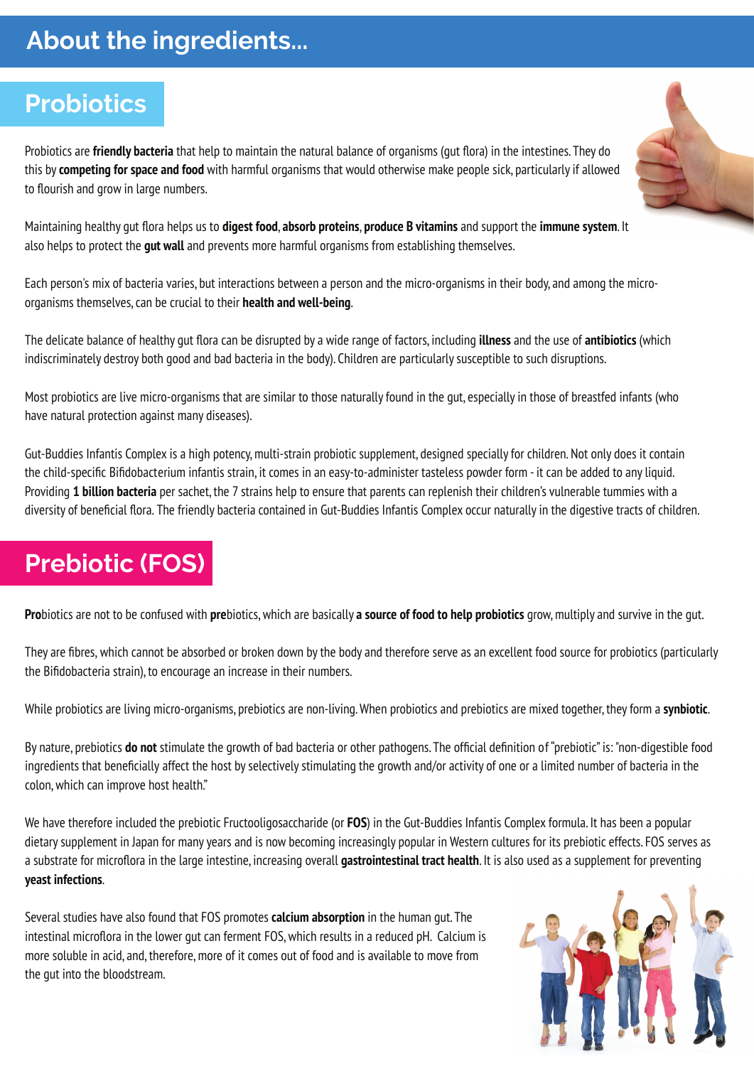# **About the ingredients...**

# **Probiotics**

Probiotics are **friendly bacteria** that help to maintain the natural balance of organisms (gut flora) in the intestines. They do this by **competing for space and food** with harmful organisms that would otherwise make people sick, particularly if allowed to flourish and grow in large numbers.

Maintaining healthy gut flora helps us to **digest food**, **absorb proteins**, **produce B vitamins** and support the **immune system**. It also helps to protect the **gut wall** and prevents more harmful organisms from establishing themselves.

Each person's mix of bacteria varies, but interactions between a person and the micro-organisms in their body, and among the microorganisms themselves, can be crucial to their **health and well-being**.

The delicate balance of healthy gut flora can be disrupted by a wide range of factors, including **illness** and the use of **antibiotics** (which indiscriminately destroy both good and bad bacteria in the body). Children are particularly susceptible to such disruptions.

Most probiotics are live micro-organisms that are similar to those naturally found in the gut, especially in those of breastfed infants (who have natural protection against many diseases).

Gut-Buddies Infantis Complex is a high potency, multi-strain probiotic supplement, designed specially for children. Not only does it contain the child-specific Bifidobacterium infantis strain, it comes in an easy-to-administer tasteless powder form - it can be added to any liquid. Providing **1 billion bacteria** per sachet, the 7 strains help to ensure that parents can replenish their children's vulnerable tummies with a diversity of beneficial flora. The friendly bacteria contained in Gut-Buddies Infantis Complex occur naturally in the digestive tracts of children.

# **Prebiotic (FOS)**

**Pro**biotics are not to be confused with **pre**biotics, which are basically **a source of food to help probiotics** grow, multiply and survive in the gut.

They are fibres, which cannot be absorbed or broken down by the body and therefore serve as an excellent food source for probiotics (particularly the Bifidobacteria strain), to encourage an increase in their numbers.

While probiotics are living micro-organisms, prebiotics are non-living. When probiotics and prebiotics are mixed together, they form a **synbiotic**.

By nature, prebiotics **do not** stimulate the growth of bad bacteria or other pathogens. The official definition of "prebiotic" is: "non-digestible food ingredients that beneficially affect the host by selectively stimulating the growth and/or activity of one or a limited number of bacteria in the colon, which can improve host health."

We have therefore included the prebiotic Fructooligosaccharide (or **FOS**) in the Gut-Buddies Infantis Complex formula. It has been a popular dietary supplement in Japan for many years and is now becoming increasingly popular in Western cultures for its prebiotic effects. FOS serves as a substrate for microflora in the large intestine, increasing overall **gastrointestinal tract health**. It is also used as a supplement for preventing **yeast infections**.

Several studies have also found that FOS promotes **calcium absorption** in the human gut. The intestinal microflora in the lower gut can ferment FOS, which results in a reduced pH. Calcium is more soluble in acid, and, therefore, more of it comes out of food and is available to move from the gut into the bloodstream.